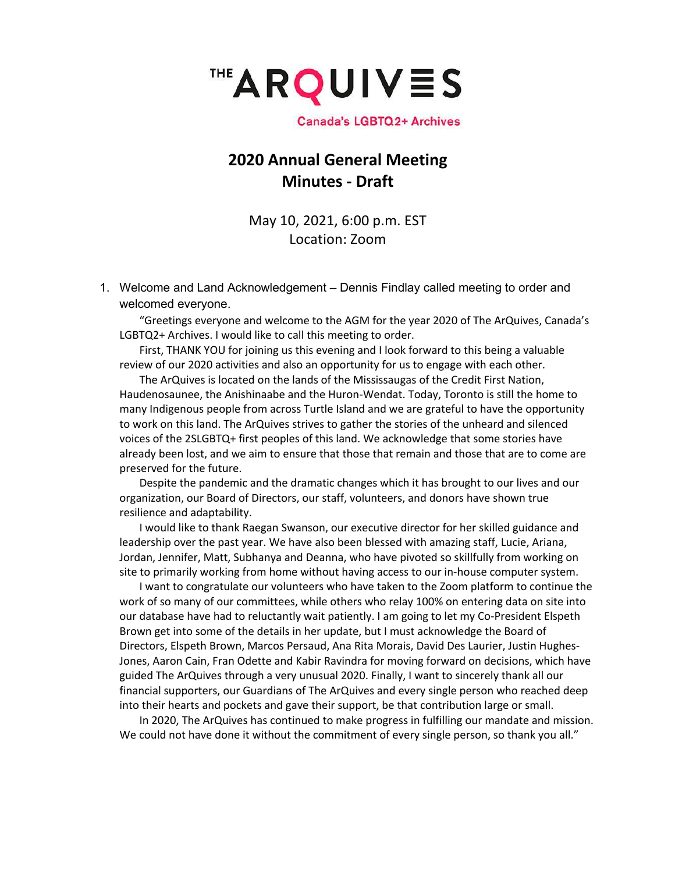

**Canada's LGBTQ2+ Archives** 

### **2020 Annual General Meeting Minutes - Draft**

May 10, 2021, 6:00 p.m. EST Location: Zoom

1. Welcome and Land Acknowledgement – Dennis Findlay called meeting to order and welcomed everyone.

"Greetings everyone and welcome to the AGM for the year 2020 of The ArQuives, Canada's LGBTQ2+ Archives. I would like to call this meeting to order.

First, THANK YOU for joining us this evening and I look forward to this being a valuable review of our 2020 activities and also an opportunity for us to engage with each other.

The ArQuives is located on the lands of the Mississaugas of the Credit First Nation, Haudenosaunee, the Anishinaabe and the Huron-Wendat. Today, Toronto is still the home to many Indigenous people from across Turtle Island and we are grateful to have the opportunity to work on this land. The ArQuives strives to gather the stories of the unheard and silenced voices of the 2SLGBTQ+ first peoples of this land. We acknowledge that some stories have already been lost, and we aim to ensure that those that remain and those that are to come are preserved for the future.

Despite the pandemic and the dramatic changes which it has brought to our lives and our organization, our Board of Directors, our staff, volunteers, and donors have shown true resilience and adaptability.

I would like to thank Raegan Swanson, our executive director for her skilled guidance and leadership over the past year. We have also been blessed with amazing staff, Lucie, Ariana, Jordan, Jennifer, Matt, Subhanya and Deanna, who have pivoted so skillfully from working on site to primarily working from home without having access to our in-house computer system.

I want to congratulate our volunteers who have taken to the Zoom platform to continue the work of so many of our committees, while others who relay 100% on entering data on site into our database have had to reluctantly wait patiently. I am going to let my Co-President Elspeth Brown get into some of the details in her update, but I must acknowledge the Board of Directors, Elspeth Brown, Marcos Persaud, Ana Rita Morais, David Des Laurier, Justin Hughes-Jones, Aaron Cain, Fran Odette and Kabir Ravindra for moving forward on decisions, which have guided The ArQuives through a very unusual 2020. Finally, I want to sincerely thank all our financial supporters, our Guardians of The ArQuives and every single person who reached deep into their hearts and pockets and gave their support, be that contribution large or small.

In 2020, The ArQuives has continued to make progress in fulfilling our mandate and mission. We could not have done it without the commitment of every single person, so thank you all."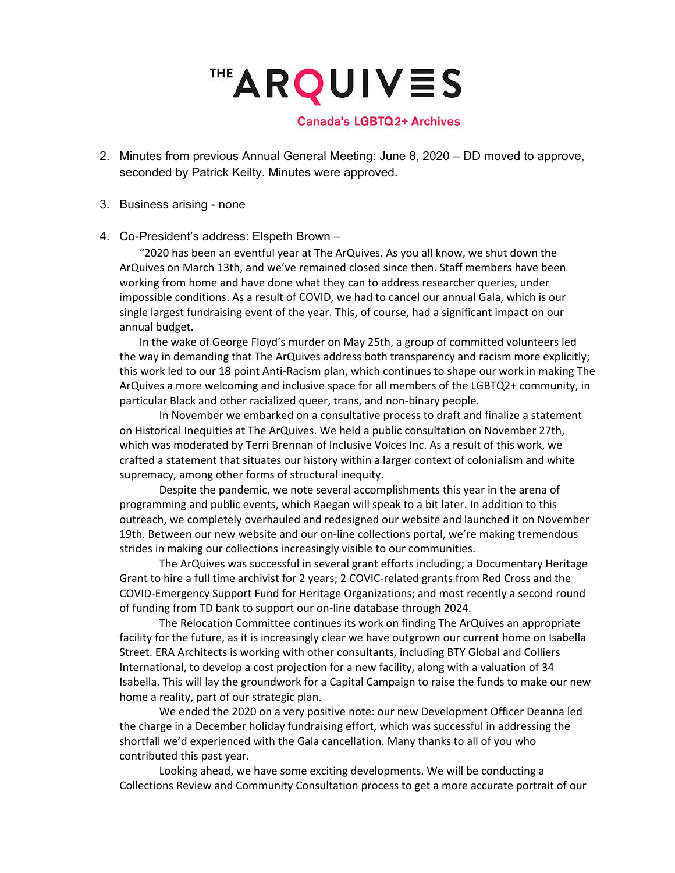**THE ARQUIVES** 

**Canada's LGBTQ2+ Archives** 

- 2. Minutes from previous Annual General Meeting: June 8, 2020 DD moved to approve, seconded by Patrick Keilty. Minutes were approved.
- 3. Business arising none

#### 4. Co-President's address: Elspeth Brown –

"2020 has been an eventful year at The ArQuives. As you all know, we shut down the ArQuives on March 13th, and we've remained closed since then. Staff members have been working from home and have done what they can to address researcher queries, under impossible conditions. As a result of COVID, we had to cancel our annual Gala, which is our single largest fundraising event of the year. This, of course, had a significant impact on our annual budget.

In the wake of George Floyd's murder on May 25th, a group of committed volunteers led the way in demanding that The ArQuives address both transparency and racism more explicitly; this work led to our 18 point Anti-Racism plan, which continues to shape our work in making The ArQuives a more welcoming and inclusive space for all members of the LGBTQ2+ community, in particular Black and other racialized queer, trans, and non-binary people.

In November we embarked on a consultative process to draft and finalize a statement on Historical Inequities at The ArQuives. We held a public consultation on November 27th, which was moderated by Terri Brennan of Inclusive Voices Inc. As a result of this work, we crafted a statement that situates our history within a larger context of colonialism and white supremacy, among other forms of structural inequity.

Despite the pandemic, we note several accomplishments this year in the arena of programming and public events, which Raegan will speak to a bit later. In addition to this outreach, we completely overhauled and redesigned our website and launched it on November 19th. Between our new website and our on-line collections portal, we're making tremendous strides in making our collections increasingly visible to our communities.

The ArQuives was successful in several grant efforts including; a Documentary Heritage Grant to hire a full time archivist for 2 years; 2 COVIC-related grants from Red Cross and the COVID-Emergency Support Fund for Heritage Organizations; and most recently a second round of funding from TD bank to support our on-line database through 2024.

The Relocation Committee continues its work on finding The ArQuives an appropriate facility for the future, as it is increasingly clear we have outgrown our current home on Isabella Street. ERA Architects is working with other consultants, including BTY Global and Colliers International, to develop a cost projection for a new facility, along with a valuation of 34 Isabella. This will lay the groundwork for a Capital Campaign to raise the funds to make our new home a reality, part of our strategic plan.

We ended the 2020 on a very positive note: our new Development Officer Deanna led the charge in a December holiday fundraising effort, which was successful in addressing the shortfall we'd experienced with the Gala cancellation. Many thanks to all of you who contributed this past year.

Looking ahead, we have some exciting developments. We will be conducting a Collections Review and Community Consultation process to get a more accurate portrait of our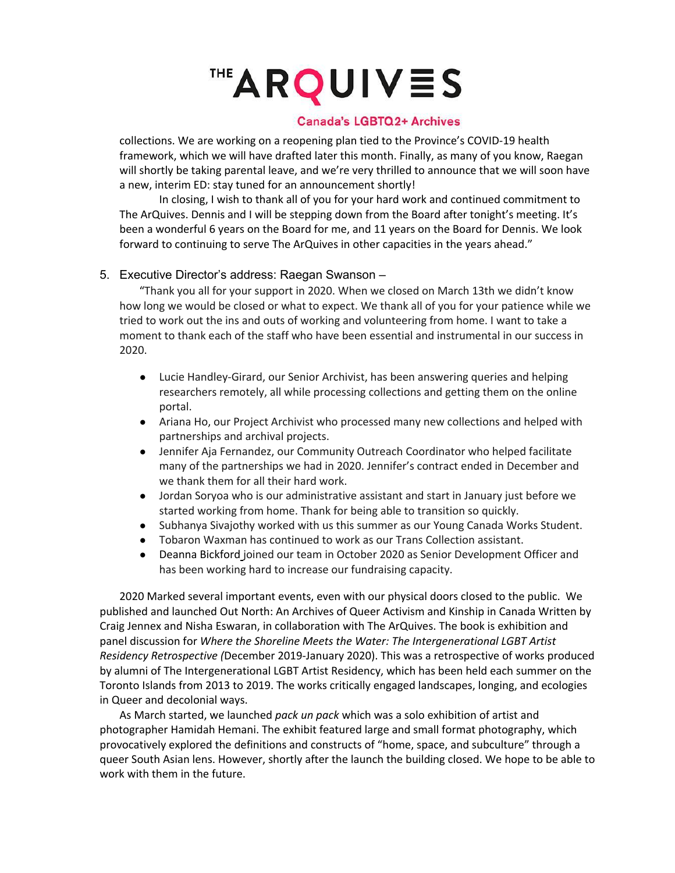# **THE ARQUIVES**

### **Canada's LGBTQ2+ Archives**

collections. We are working on a reopening plan tied to the Province's COVID-19 health framework, which we will have drafted later this month. Finally, as many of you know, Raegan will shortly be taking parental leave, and we're very thrilled to announce that we will soon have a new, interim ED: stay tuned for an announcement shortly!

In closing, I wish to thank all of you for your hard work and continued commitment to The ArQuives. Dennis and I will be stepping down from the Board after tonight's meeting. It's been a wonderful 6 years on the Board for me, and 11 years on the Board for Dennis. We look forward to continuing to serve The ArQuives in other capacities in the years ahead."

#### 5. Executive Director's address: Raegan Swanson –

"Thank you all for your support in 2020. When we closed on March 13th we didn't know how long we would be closed or what to expect. We thank all of you for your patience while we tried to work out the ins and outs of working and volunteering from home. I want to take a moment to thank each of the staff who have been essential and instrumental in our success in 2020.

- Lucie Handley-Girard, our Senior Archivist, has been answering queries and helping researchers remotely, all while processing collections and getting them on the online portal.
- Ariana Ho, our Project Archivist who processed many new collections and helped with partnerships and archival projects.
- Jennifer Aja Fernandez, our Community Outreach Coordinator who helped facilitate many of the partnerships we had in 2020. Jennifer's contract ended in December and we thank them for all their hard work.
- Jordan Soryoa who is our administrative assistant and start in January just before we started working from home. Thank for being able to transition so quickly.
- Subhanya Sivajothy worked with us this summer as our Young Canada Works Student.
- Tobaron Waxman has continued to work as our Trans Collection assistant.
- Deanna Bickford joined our team in October 2020 as Senior Development Officer and has been working hard to increase our fundraising capacity.

2020 Marked several important events, even with our physical doors closed to the public. We published and launched Out North: An Archives of Queer Activism and Kinship in Canada Written by Craig Jennex and Nisha Eswaran, in collaboration with The ArQuives. The book is exhibition and panel discussion for *Where the Shoreline Meets the Water: The Intergenerational LGBT Artist Residency Retrospective (*December 2019-January 2020). This was a retrospective of works produced by alumni of The Intergenerational LGBT Artist Residency, which has been held each summer on the Toronto Islands from 2013 to 2019. The works critically engaged landscapes, longing, and ecologies in Queer and decolonial ways.

As March started, we launched *pack un pack* which was a solo exhibition of artist and photographer Hamidah Hemani. The exhibit featured large and small format photography, which provocatively explored the definitions and constructs of "home, space, and subculture" through a queer South Asian lens. However, shortly after the launch the building closed. We hope to be able to work with them in the future.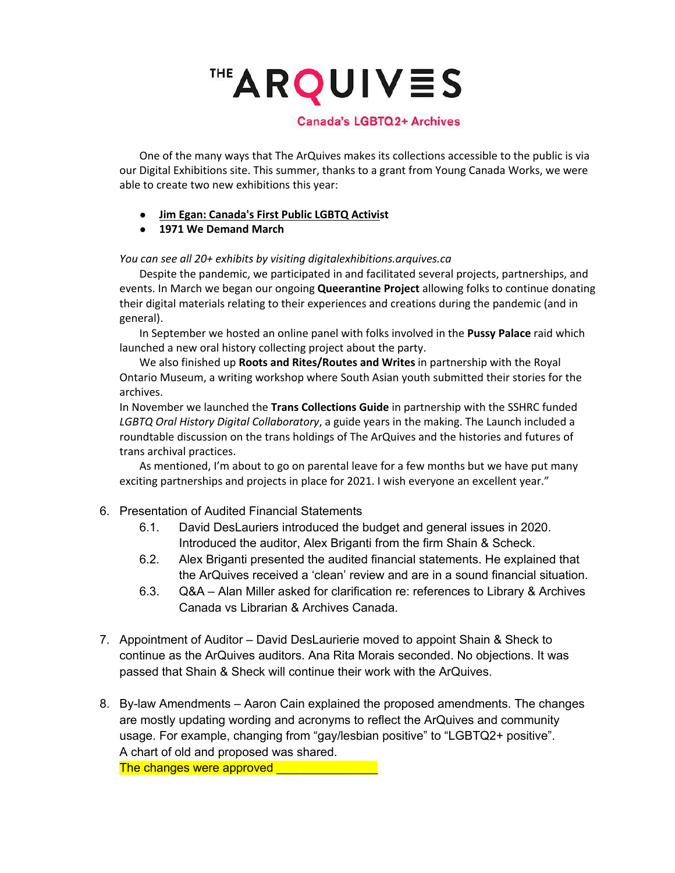## ™ARQUIVES

#### **Canada's LGBTQ2+ Archives**

One of the many ways that The ArQuives makes its collections accessible to the public is via our Digital Exhibitions site. This summer, thanks to a grant from Young Canada Works, we were able to create two new exhibitions this year:

- **Jim Egan: Canada's First Public LGBTQ Activist**
- **1971 We Demand March**

*You can see all 20+ exhibits by visiting digitalexhibitions.arquives.ca*

Despite the pandemic, we participated in and facilitated several projects, partnerships, and events. In March we began our ongoing **Queerantine Project** allowing folks to continue donating their digital materials relating to their experiences and creations during the pandemic (and in general).

In September we hosted an online panel with folks involved in the **Pussy Palace** raid which launched a new oral history collecting project about the party.

We also finished up **Roots and Rites/Routes and Writes** in partnership with the Royal Ontario Museum, a writing workshop where South Asian youth submitted their stories for the archives.

In November we launched the **Trans Collections Guide** in partnership with the SSHRC funded *LGBTQ Oral History Digital Collaboratory*, a guide years in the making. The Launch included a roundtable discussion on the trans holdings of The ArQuives and the histories and futures of trans archival practices.

As mentioned, I'm about to go on parental leave for a few months but we have put many exciting partnerships and projects in place for 2021. I wish everyone an excellent year."

- 6. Presentation of Audited Financial Statements
	- 6.1. David DesLauriers introduced the budget and general issues in 2020. Introduced the auditor, Alex Briganti from the firm Shain & Scheck.
	- 6.2. Alex Briganti presented the audited financial statements. He explained that the ArQuives received a 'clean' review and are in a sound financial situation.
	- 6.3. Q&A Alan Miller asked for clarification re: references to Library & Archives Canada vs Librarian & Archives Canada.
- 7. Appointment of Auditor David DesLaurierie moved to appoint Shain & Sheck to continue as the ArQuives auditors. Ana Rita Morais seconded. No objections. It was passed that Shain & Sheck will continue their work with the ArQuives.
- 8. By-law Amendments Aaron Cain explained the proposed amendments. The changes are mostly updating wording and acronyms to reflect the ArQuives and community usage. For example, changing from "gay/lesbian positive" to "LGBTQ2+ positive". A chart of old and proposed was shared. The changes were approved **with any control of the changes**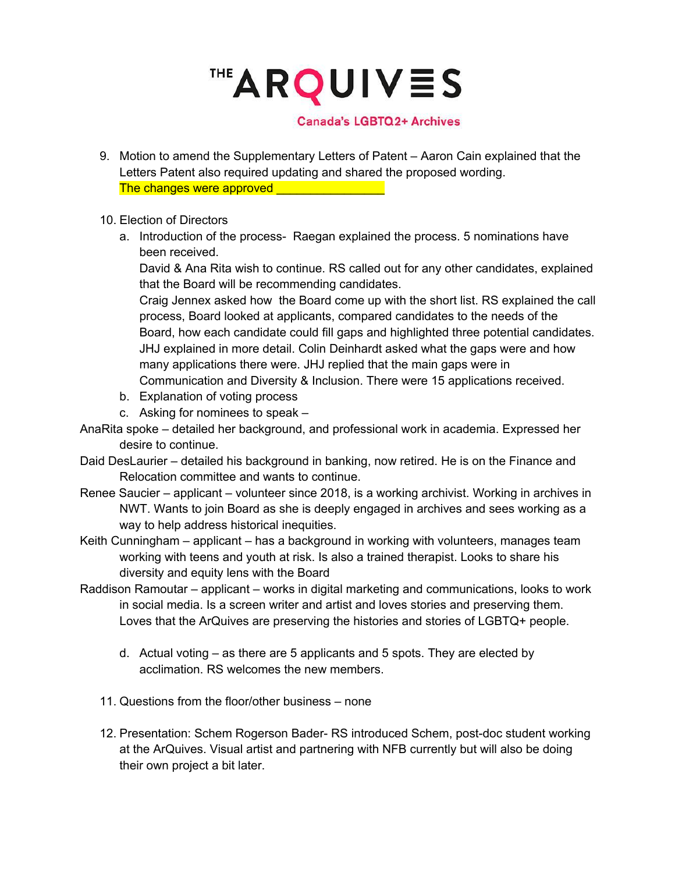™ARQUIVES

#### **Canada's LGBTQ2+ Archives**

- 9. Motion to amend the Supplementary Letters of Patent Aaron Cain explained that the Letters Patent also required updating and shared the proposed wording. The changes were approved
- 10. Election of Directors
	- a. Introduction of the process- Raegan explained the process. 5 nominations have been received.

David & Ana Rita wish to continue. RS called out for any other candidates, explained that the Board will be recommending candidates.

Craig Jennex asked how the Board come up with the short list. RS explained the call process, Board looked at applicants, compared candidates to the needs of the Board, how each candidate could fill gaps and highlighted three potential candidates. JHJ explained in more detail. Colin Deinhardt asked what the gaps were and how many applications there were. JHJ replied that the main gaps were in Communication and Diversity & Inclusion. There were 15 applications received.

- b. Explanation of voting process
- c. Asking for nominees to speak –
- AnaRita spoke detailed her background, and professional work in academia. Expressed her desire to continue.
- Daid DesLaurier detailed his background in banking, now retired. He is on the Finance and Relocation committee and wants to continue.
- Renee Saucier applicant volunteer since 2018, is a working archivist. Working in archives in NWT. Wants to join Board as she is deeply engaged in archives and sees working as a way to help address historical inequities.
- Keith Cunningham applicant has a background in working with volunteers, manages team working with teens and youth at risk. Is also a trained therapist. Looks to share his diversity and equity lens with the Board
- Raddison Ramoutar applicant works in digital marketing and communications, looks to work in social media. Is a screen writer and artist and loves stories and preserving them. Loves that the ArQuives are preserving the histories and stories of LGBTQ+ people.
	- d. Actual voting as there are 5 applicants and 5 spots. They are elected by acclimation. RS welcomes the new members.
	- 11. Questions from the floor/other business none
	- 12. Presentation: Schem Rogerson Bader- RS introduced Schem, post-doc student working at the ArQuives. Visual artist and partnering with NFB currently but will also be doing their own project a bit later.